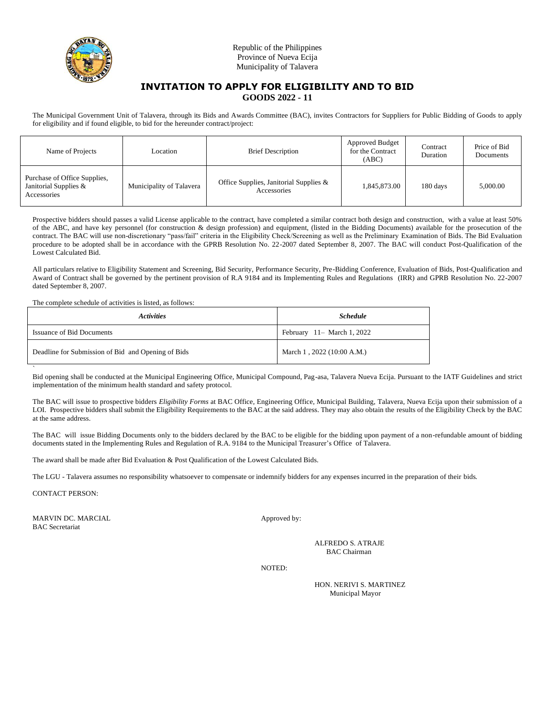

# **INVITATION TO APPLY FOR ELIGIBILITY AND TO BID GOODS 2022 - 11**

The Municipal Government Unit of Talavera, through its Bids and Awards Committee (BAC), invites Contractors for Suppliers for Public Bidding of Goods to apply for eligibility and if found eligible, to bid for the hereunder contract/project:

| Name of Projects                                                     | Location                 | <b>Brief Description</b>                              | <b>Approved Budget</b><br>for the Contract<br>(ABC) | Contract<br>Duration | Price of Bid<br>Documents |
|----------------------------------------------------------------------|--------------------------|-------------------------------------------------------|-----------------------------------------------------|----------------------|---------------------------|
| Purchase of Office Supplies,<br>Janitorial Supplies &<br>Accessories | Municipality of Talavera | Office Supplies, Janitorial Supplies &<br>Accessories | 1,845,873.00                                        | 180 days             | 5,000.00                  |

Prospective bidders should passes a valid License applicable to the contract, have completed a similar contract both design and construction, with a value at least 50% of the ABC, and have key personnel (for construction & design profession) and equipment, (listed in the Bidding Documents) available for the prosecution of the contract. The BAC will use non-discretionary "pass/fail" criteria in the Eligibility Check/Screening as well as the Preliminary Examination of Bids. The Bid Evaluation procedure to be adopted shall be in accordance with the GPRB Resolution No. 22-2007 dated September 8, 2007. The BAC will conduct Post-Qualification of the Lowest Calculated Bid.

All particulars relative to Eligibility Statement and Screening, Bid Security, Performance Security, Pre-Bidding Conference, Evaluation of Bids, Post-Qualification and Award of Contract shall be governed by the pertinent provision of R.A 9184 and its Implementing Rules and Regulations (IRR) and GPRB Resolution No. 22-2007 dated September 8, 2007.

The complete schedule of activities is listed, as follows:

| <b>Activities</b>                                  | <b>Schedule</b>                       |  |
|----------------------------------------------------|---------------------------------------|--|
| <b>Issuance of Bid Documents</b>                   | February $11 - \text{March } 1, 2022$ |  |
| Deadline for Submission of Bid and Opening of Bids | March 1, 2022 (10:00 A.M.)            |  |

` Bid opening shall be conducted at the Municipal Engineering Office, Municipal Compound, Pag-asa, Talavera Nueva Ecija. Pursuant to the IATF Guidelines and strict implementation of the minimum health standard and safety protocol.

The BAC will issue to prospective bidders *Eligibility Forms* at BAC Office, Engineering Office, Municipal Building, Talavera, Nueva Ecija upon their submission of a LOI. Prospective bidders shall submit the Eligibility Requirements to the BAC at the said address. They may also obtain the results of the Eligibility Check by the BAC at the same address.

The BAC will issue Bidding Documents only to the bidders declared by the BAC to be eligible for the bidding upon payment of a non-refundable amount of bidding documents stated in the Implementing Rules and Regulation of R.A. 9184 to the Municipal Treasurer's Office of Talavera.

The award shall be made after Bid Evaluation & Post Qualification of the Lowest Calculated Bids.

The LGU - Talavera assumes no responsibility whatsoever to compensate or indemnify bidders for any expenses incurred in the preparation of their bids.

CONTACT PERSON:

MARVIN DC. MARCIAL Approved by: BAC Secretariat

ALFREDO S. ATRAJE BAC Chairman

NOTED:

HON. NERIVI S. MARTINEZ Municipal Mayor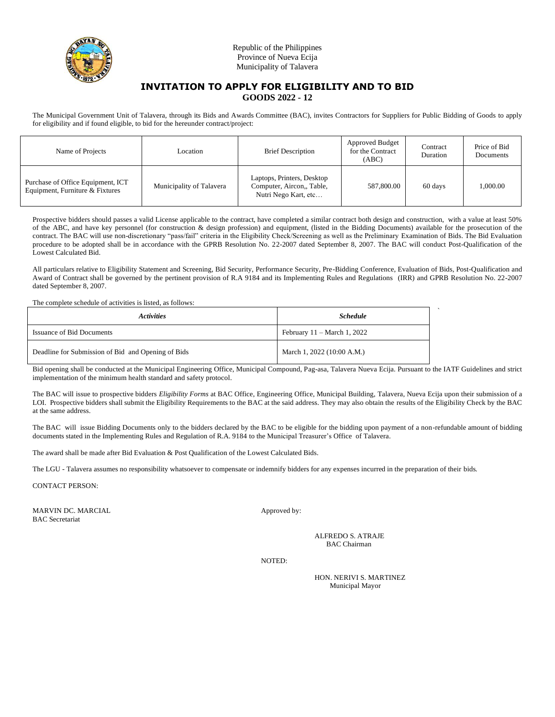

# **INVITATION TO APPLY FOR ELIGIBILITY AND TO BID GOODS 2022 - 12**

The Municipal Government Unit of Talavera, through its Bids and Awards Committee (BAC), invites Contractors for Suppliers for Public Bidding of Goods to apply for eligibility and if found eligible, to bid for the hereunder contract/project:

| Name of Projects                                                     | Location                 | <b>Brief Description</b>                                                        | <b>Approved Budget</b><br>for the Contract<br>(ABC) | Contract<br>Duration | Price of Bid<br>Documents |
|----------------------------------------------------------------------|--------------------------|---------------------------------------------------------------------------------|-----------------------------------------------------|----------------------|---------------------------|
| Purchase of Office Equipment, ICT<br>Equipment, Furniture & Fixtures | Municipality of Talavera | Laptops, Printers, Desktop<br>Computer, Aircon,, Table,<br>Nutri Nego Kart, etc | 587,800.00                                          | 60 days              | 000.00                    |

Prospective bidders should passes a valid License applicable to the contract, have completed a similar contract both design and construction, with a value at least 50% of the ABC, and have key personnel (for construction & design profession) and equipment, (listed in the Bidding Documents) available for the prosecution of the contract. The BAC will use non-discretionary "pass/fail" criteria in the Eligibility Check/Screening as well as the Preliminary Examination of Bids. The Bid Evaluation procedure to be adopted shall be in accordance with the GPRB Resolution No. 22-2007 dated September 8, 2007. The BAC will conduct Post-Qualification of the Lowest Calculated Bid.

All particulars relative to Eligibility Statement and Screening, Bid Security, Performance Security, Pre-Bidding Conference, Evaluation of Bids, Post-Qualification and Award of Contract shall be governed by the pertinent provision of R.A 9184 and its Implementing Rules and Regulations (IRR) and GPRB Resolution No. 22-2007 dated September 8, 2007.

The complete schedule of activities is listed, as follows:

| <b>Activities</b>                                  | <b>Schedule</b>                       |  |
|----------------------------------------------------|---------------------------------------|--|
| <b>Issuance of Bid Documents</b>                   | February $11 - \text{March } 1, 2022$ |  |
| Deadline for Submission of Bid and Opening of Bids | March 1, 2022 (10:00 A.M.)            |  |

Bid opening shall be conducted at the Municipal Engineering Office, Municipal Compound, Pag-asa, Talavera Nueva Ecija. Pursuant to the IATF Guidelines and strict implementation of the minimum health standard and safety protocol.

The BAC will issue to prospective bidders *Eligibility Forms* at BAC Office, Engineering Office, Municipal Building, Talavera, Nueva Ecija upon their submission of a LOI. Prospective bidders shall submit the Eligibility Requirements to the BAC at the said address. They may also obtain the results of the Eligibility Check by the BAC at the same address.

The BAC will issue Bidding Documents only to the bidders declared by the BAC to be eligible for the bidding upon payment of a non-refundable amount of bidding documents stated in the Implementing Rules and Regulation of R.A. 9184 to the Municipal Treasurer's Office of Talavera.

The award shall be made after Bid Evaluation & Post Qualification of the Lowest Calculated Bids.

The LGU - Talavera assumes no responsibility whatsoever to compensate or indemnify bidders for any expenses incurred in the preparation of their bids.

CONTACT PERSON:

MARVIN DC. MARCIAL Approved by: BAC Secretariat

ALFREDO S. ATRAJE BAC Chairman

`

NOTED:

HON. NERIVI S. MARTINEZ Municipal Mayor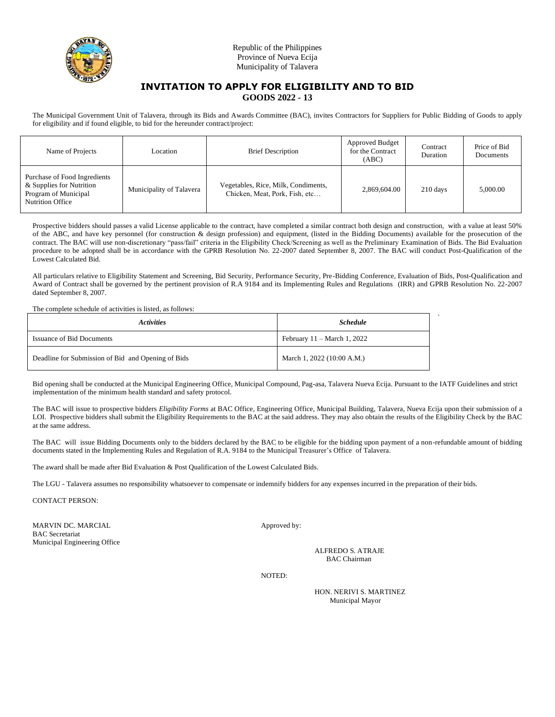

# **INVITATION TO APPLY FOR ELIGIBILITY AND TO BID GOODS 2022 - 13**

The Municipal Government Unit of Talavera, through its Bids and Awards Committee (BAC), invites Contractors for Suppliers for Public Bidding of Goods to apply for eligibility and if found eligible, to bid for the hereunder contract/project:

| Name of Projects                                                                                            | Location                 | <b>Brief Description</b>                                              | Approved Budget<br>for the Contract<br>(ABC) | Contract<br>Duration | Price of Bid<br>Documents |
|-------------------------------------------------------------------------------------------------------------|--------------------------|-----------------------------------------------------------------------|----------------------------------------------|----------------------|---------------------------|
| Purchase of Food Ingredients<br>& Supplies for Nutrition<br>Program of Municipal<br><b>Nutrition Office</b> | Municipality of Talavera | Vegetables, Rice, Milk, Condiments,<br>Chicken, Meat, Pork, Fish, etc | 2.869.604.00                                 | 210 days             | 5,000.00                  |

Prospective bidders should passes a valid License applicable to the contract, have completed a similar contract both design and construction, with a value at least 50% of the ABC, and have key personnel (for construction & design profession) and equipment, (listed in the Bidding Documents) available for the prosecution of the contract. The BAC will use non-discretionary "pass/fail" criteria in the Eligibility Check/Screening as well as the Preliminary Examination of Bids. The Bid Evaluation procedure to be adopted shall be in accordance with the GPRB Resolution No. 22-2007 dated September 8, 2007. The BAC will conduct Post-Qualification of the Lowest Calculated Bid.

All particulars relative to Eligibility Statement and Screening, Bid Security, Performance Security, Pre-Bidding Conference, Evaluation of Bids, Post-Qualification and Award of Contract shall be governed by the pertinent provision of R.A 9184 and its Implementing Rules and Regulations (IRR) and GPRB Resolution No. 22-2007 dated September 8, 2007.

The complete schedule of activities is listed, as follows:

| <i>Activities</i>                                  | <b>Schedule</b>                       |  |
|----------------------------------------------------|---------------------------------------|--|
| <b>Issuance of Bid Documents</b>                   | February $11 - \text{March } 1, 2022$ |  |
| Deadline for Submission of Bid and Opening of Bids | March 1, 2022 (10:00 A.M.)            |  |

Bid opening shall be conducted at the Municipal Engineering Office, Municipal Compound, Pag-asa, Talavera Nueva Ecija. Pursuant to the IATF Guidelines and strict implementation of the minimum health standard and safety protocol.

The BAC will issue to prospective bidders *Eligibility Forms* at BAC Office, Engineering Office, Municipal Building, Talavera, Nueva Ecija upon their submission of a LOI. Prospective bidders shall submit the Eligibility Requirements to the BAC at the said address. They may also obtain the results of the Eligibility Check by the BAC at the same address.

The BAC will issue Bidding Documents only to the bidders declared by the BAC to be eligible for the bidding upon payment of a non-refundable amount of bidding documents stated in the Implementing Rules and Regulation of R.A. 9184 to the Municipal Treasurer's Office of Talavera.

The award shall be made after Bid Evaluation & Post Qualification of the Lowest Calculated Bids.

The LGU - Talavera assumes no responsibility whatsoever to compensate or indemnify bidders for any expenses incurred in the preparation of their bids.

CONTACT PERSON:

MARVIN DC. MARCIAL Approved by: BAC Secretariat Municipal Engineering Office

ALFREDO S. ATRAJE BAC Chairman

NOTED:

HON. NERIVI S. MARTINEZ Municipal Mayor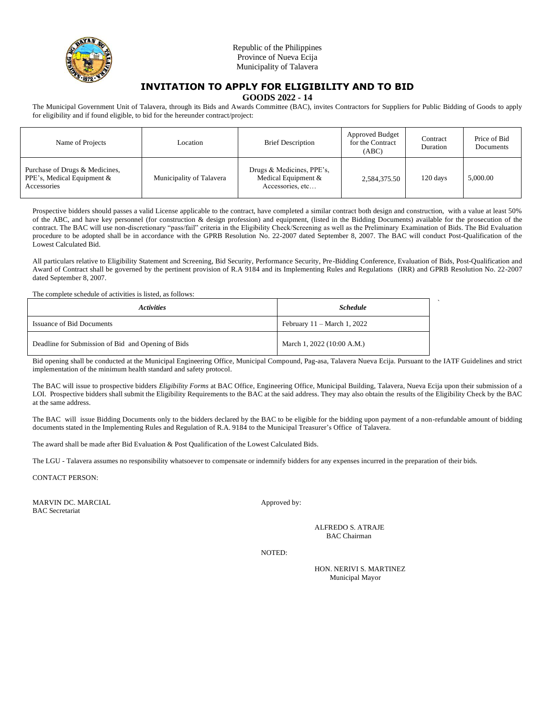

# **INVITATION TO APPLY FOR ELIGIBILITY AND TO BID**

**GOODS 2022 - 14**

The Municipal Government Unit of Talavera, through its Bids and Awards Committee (BAC), invites Contractors for Suppliers for Public Bidding of Goods to apply for eligibility and if found eligible, to bid for the hereunder contract/project:

| Name of Projects                                                            | Location                 | <b>Brief Description</b>                                             | Approved Budget<br>for the Contract<br>(ABC) | Contract<br>Duration | Price of Bid<br>Documents |
|-----------------------------------------------------------------------------|--------------------------|----------------------------------------------------------------------|----------------------------------------------|----------------------|---------------------------|
| Purchase of Drugs & Medicines,<br>PPE's, Medical Equipment &<br>Accessories | Municipality of Talavera | Drugs & Medicines, PPE's,<br>Medical Equipment &<br>Accessories, etc | 2,584,375.50                                 | 120 days             | 5,000.00                  |

Prospective bidders should passes a valid License applicable to the contract, have completed a similar contract both design and construction, with a value at least 50% of the ABC, and have key personnel (for construction & design profession) and equipment, (listed in the Bidding Documents) available for the prosecution of the contract. The BAC will use non-discretionary "pass/fail" criteria in the Eligibility Check/Screening as well as the Preliminary Examination of Bids. The Bid Evaluation procedure to be adopted shall be in accordance with the GPRB Resolution No. 22-2007 dated September 8, 2007. The BAC will conduct Post-Qualification of the Lowest Calculated Bid.

All particulars relative to Eligibility Statement and Screening, Bid Security, Performance Security, Pre-Bidding Conference, Evaluation of Bids, Post-Qualification and Award of Contract shall be governed by the pertinent provision of R.A 9184 and its Implementing Rules and Regulations (IRR) and GPRB Resolution No. 22-2007 dated September 8, 2007.

The complete schedule of activities is listed, as follows:

| <i><b>Activities</b></i>                           | <b>Schedule</b>                       |  |
|----------------------------------------------------|---------------------------------------|--|
| <b>Issuance of Bid Documents</b>                   | February $11 - \text{March } 1, 2022$ |  |
| Deadline for Submission of Bid and Opening of Bids | March 1, 2022 (10:00 A.M.)            |  |

Bid opening shall be conducted at the Municipal Engineering Office, Municipal Compound, Pag-asa, Talavera Nueva Ecija. Pursuant to the IATF Guidelines and strict implementation of the minimum health standard and safety protocol.

The BAC will issue to prospective bidders *Eligibility Forms* at BAC Office, Engineering Office, Municipal Building, Talavera, Nueva Ecija upon their submission of a LOI. Prospective bidders shall submit the Eligibility Requirements to the BAC at the said address. They may also obtain the results of the Eligibility Check by the BAC at the same address.

The BAC will issue Bidding Documents only to the bidders declared by the BAC to be eligible for the bidding upon payment of a non-refundable amount of bidding documents stated in the Implementing Rules and Regulation of R.A. 9184 to the Municipal Treasurer's Office of Talavera.

The award shall be made after Bid Evaluation & Post Qualification of the Lowest Calculated Bids.

The LGU - Talavera assumes no responsibility whatsoever to compensate or indemnify bidders for any expenses incurred in the preparation of their bids.

CONTACT PERSON:

MARVIN DC. MARCIAL Approved by: BAC Secretariat

ALFREDO S. ATRAJE BAC Chairman

NOTED:

HON. NERIVI S. MARTINEZ Municipal Mayor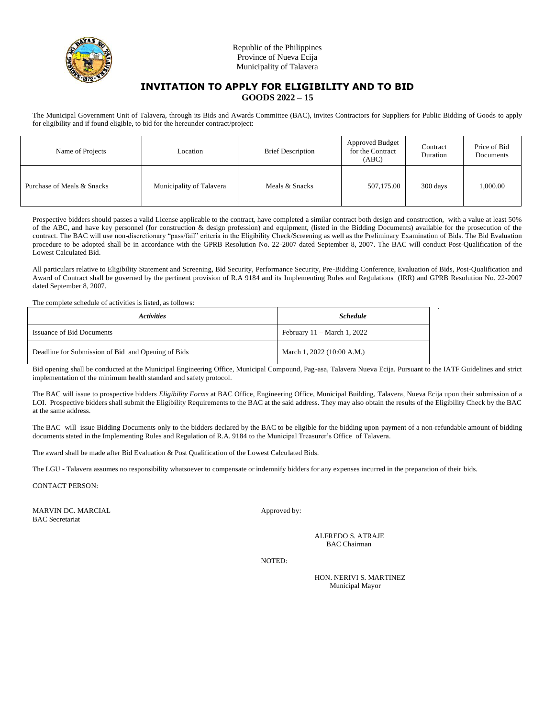

### **INVITATION TO APPLY FOR ELIGIBILITY AND TO BID GOODS 2022 – 15**

The Municipal Government Unit of Talavera, through its Bids and Awards Committee (BAC), invites Contractors for Suppliers for Public Bidding of Goods to apply for eligibility and if found eligible, to bid for the hereunder contract/project:

| Name of Projects           | Location                 | <b>Brief Description</b> | Approved Budget<br>for the Contract<br>(ABC) | Contract<br>Duration | Price of Bid<br>Documents |
|----------------------------|--------------------------|--------------------------|----------------------------------------------|----------------------|---------------------------|
| Purchase of Meals & Snacks | Municipality of Talavera | Meals & Snacks           | 507,175.00                                   | 300 days             | 1,000.00                  |

Prospective bidders should passes a valid License applicable to the contract, have completed a similar contract both design and construction, with a value at least 50% of the ABC, and have key personnel (for construction & design profession) and equipment, (listed in the Bidding Documents) available for the prosecution of the contract. The BAC will use non-discretionary "pass/fail" criteria in the Eligibility Check/Screening as well as the Preliminary Examination of Bids. The Bid Evaluation procedure to be adopted shall be in accordance with the GPRB Resolution No. 22-2007 dated September 8, 2007. The BAC will conduct Post-Qualification of the Lowest Calculated Bid.

All particulars relative to Eligibility Statement and Screening, Bid Security, Performance Security, Pre-Bidding Conference, Evaluation of Bids, Post-Qualification and Award of Contract shall be governed by the pertinent provision of R.A 9184 and its Implementing Rules and Regulations (IRR) and GPRB Resolution No. 22-2007 dated September 8, 2007.

The complete schedule of activities is listed, as follows:

| <b>Activities</b>                                  | <b>Schedule</b>                       |  |
|----------------------------------------------------|---------------------------------------|--|
| <b>Issuance of Bid Documents</b>                   | February $11 - \text{March } 1, 2022$ |  |
| Deadline for Submission of Bid and Opening of Bids | March 1, 2022 (10:00 A.M.)            |  |

Bid opening shall be conducted at the Municipal Engineering Office, Municipal Compound, Pag-asa, Talavera Nueva Ecija. Pursuant to the IATF Guidelines and strict implementation of the minimum health standard and safety protocol.

The BAC will issue to prospective bidders *Eligibility Forms* at BAC Office, Engineering Office, Municipal Building, Talavera, Nueva Ecija upon their submission of a LOI. Prospective bidders shall submit the Eligibility Requirements to the BAC at the said address. They may also obtain the results of the Eligibility Check by the BAC at the same address.

The BAC will issue Bidding Documents only to the bidders declared by the BAC to be eligible for the bidding upon payment of a non-refundable amount of bidding documents stated in the Implementing Rules and Regulation of R.A. 9184 to the Municipal Treasurer's Office of Talavera.

The award shall be made after Bid Evaluation & Post Qualification of the Lowest Calculated Bids.

The LGU - Talavera assumes no responsibility whatsoever to compensate or indemnify bidders for any expenses incurred in the preparation of their bids.

CONTACT PERSON:

MARVIN DC. MARCIAL Approved by: BAC Secretariat

ALFREDO S. ATRAJE BAC Chairman

`

NOTED:

HON. NERIVI S. MARTINEZ Municipal Mayor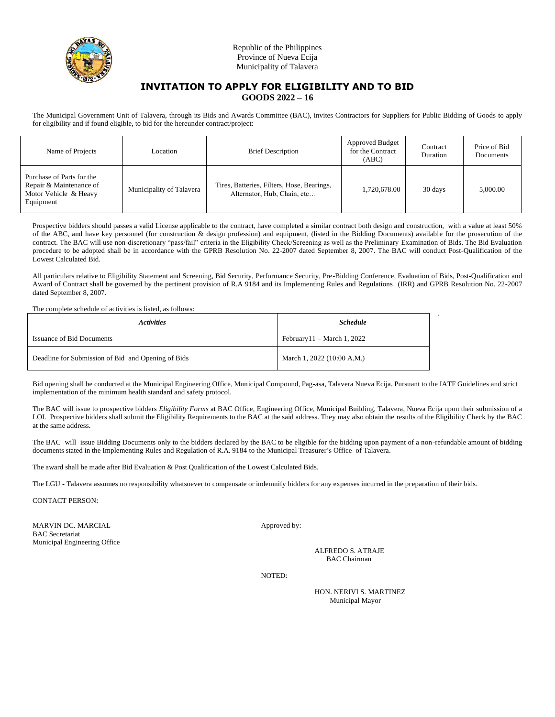

# **INVITATION TO APPLY FOR ELIGIBILITY AND TO BID GOODS 2022 – 16**

The Municipal Government Unit of Talavera, through its Bids and Awards Committee (BAC), invites Contractors for Suppliers for Public Bidding of Goods to apply for eligibility and if found eligible, to bid for the hereunder contract/project:

| Name of Projects                                                                           | Location                 | <b>Brief Description</b>                                                  | Approved Budget<br>for the Contract<br>(ABC) | Contract<br>Duration | Price of Bid<br>Documents |
|--------------------------------------------------------------------------------------------|--------------------------|---------------------------------------------------------------------------|----------------------------------------------|----------------------|---------------------------|
| Purchase of Parts for the<br>Repair & Maintenance of<br>Motor Vehicle & Heavy<br>Equipment | Municipality of Talavera | Tires, Batteries, Filters, Hose, Bearings,<br>Alternator, Hub, Chain, etc | 1,720,678.00                                 | 30 days              | 5,000.00                  |

Prospective bidders should passes a valid License applicable to the contract, have completed a similar contract both design and construction, with a value at least 50% of the ABC, and have key personnel (for construction & design profession) and equipment, (listed in the Bidding Documents) available for the prosecution of the contract. The BAC will use non-discretionary "pass/fail" criteria in the Eligibility Check/Screening as well as the Preliminary Examination of Bids. The Bid Evaluation procedure to be adopted shall be in accordance with the GPRB Resolution No. 22-2007 dated September 8, 2007. The BAC will conduct Post-Qualification of the Lowest Calculated Bid.

All particulars relative to Eligibility Statement and Screening, Bid Security, Performance Security, Pre-Bidding Conference, Evaluation of Bids, Post-Qualification and Award of Contract shall be governed by the pertinent provision of R.A 9184 and its Implementing Rules and Regulations (IRR) and GPRB Resolution No. 22-2007 dated September 8, 2007.

The complete schedule of activities is listed, as follows:

| <b>Activities</b>                                  | <b>Schedule</b>                       |  |
|----------------------------------------------------|---------------------------------------|--|
| <b>Issuance of Bid Documents</b>                   | February $11 - \text{March } 1, 2022$ |  |
| Deadline for Submission of Bid and Opening of Bids | March 1, 2022 (10:00 A.M.)            |  |

Bid opening shall be conducted at the Municipal Engineering Office, Municipal Compound, Pag-asa, Talavera Nueva Ecija. Pursuant to the IATF Guidelines and strict implementation of the minimum health standard and safety protocol.

The BAC will issue to prospective bidders *Eligibility Forms* at BAC Office, Engineering Office, Municipal Building, Talavera, Nueva Ecija upon their submission of a LOI. Prospective bidders shall submit the Eligibility Requirements to the BAC at the said address. They may also obtain the results of the Eligibility Check by the BAC at the same address.

The BAC will issue Bidding Documents only to the bidders declared by the BAC to be eligible for the bidding upon payment of a non-refundable amount of bidding documents stated in the Implementing Rules and Regulation of R.A. 9184 to the Municipal Treasurer's Office of Talavera.

The award shall be made after Bid Evaluation & Post Qualification of the Lowest Calculated Bids.

The LGU - Talavera assumes no responsibility whatsoever to compensate or indemnify bidders for any expenses incurred in the preparation of their bids.

CONTACT PERSON:

MARVIN DC. MARCIAL Approved by: BAC Secretariat Municipal Engineering Office

ALFREDO S. ATRAJE BAC Chairman

NOTED:

HON. NERIVI S. MARTINEZ Municipal Mayor